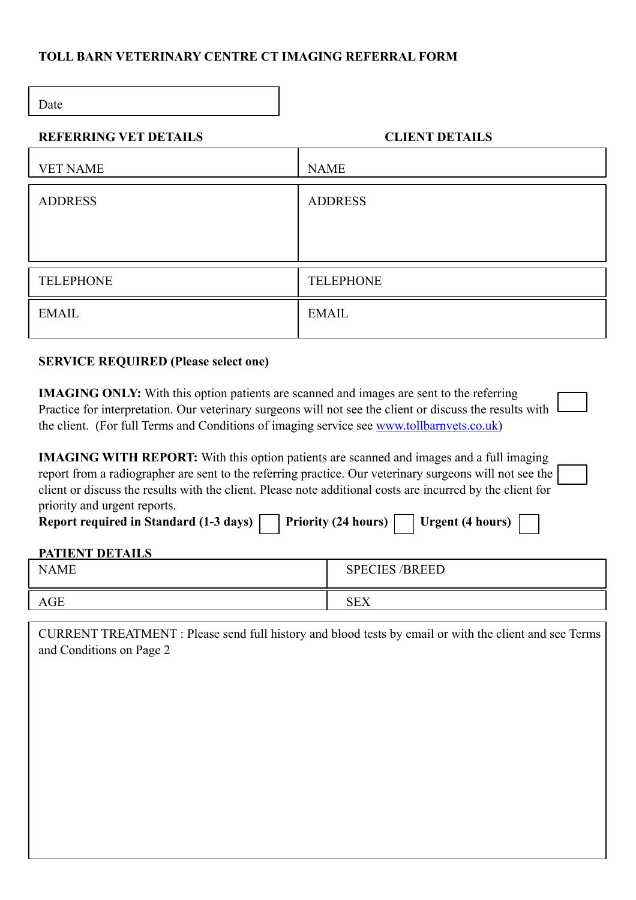# **TOLL BARN VETERINARY CENTRE CT IMAGING REFERRAL FORM**

Date

### **REFERRING VET DETAILS CLIENT DETAILS**

| <b>VET NAME</b>  | <b>NAME</b>      |
|------------------|------------------|
| <b>ADDRESS</b>   | <b>ADDRESS</b>   |
|                  |                  |
|                  |                  |
| <b>TELEPHONE</b> | <b>TELEPHONE</b> |
| <b>EMAIL</b>     | <b>EMAIL</b>     |
|                  |                  |

# **SERVICE REQUIRED (Please select one)**

| <b>IMAGING ONLY:</b> With this option patients are scanned and images are sent to the referring                 |  |
|-----------------------------------------------------------------------------------------------------------------|--|
| Practice for interpretation. Our veterinary surgeons will not see the client or discuss the results with $\Box$ |  |
| the client. (For full Terms and Conditions of imaging service see www.tollbarnvets.co.uk)                       |  |

| <b>IMAGING WITH REPORT:</b> With this option patients are scanned and images and a full imaging            |  |
|------------------------------------------------------------------------------------------------------------|--|
| report from a radiographer are sent to the referring practice. Our veterinary surgeons will not see the    |  |
| client or discuss the results with the client. Please note additional costs are incurred by the client for |  |
| priority and urgent reports.                                                                               |  |

| Report required in Standard (1-3 days)     Priority (24 hours) | Urgent (4 hours) $\vert$ |
|----------------------------------------------------------------|--------------------------|
|----------------------------------------------------------------|--------------------------|

### **PATIENT DETAILS**

| <b>NAME</b> | <b>SPECIES /BREED</b> |
|-------------|-----------------------|
| <b>AGE</b>  | <b>SEX</b>            |

| CURRENT TREATMENT : Please send full history and blood tests by email or with the client and see Terms<br>and Conditions on Page 2 |
|------------------------------------------------------------------------------------------------------------------------------------|
|                                                                                                                                    |
|                                                                                                                                    |
|                                                                                                                                    |
|                                                                                                                                    |
|                                                                                                                                    |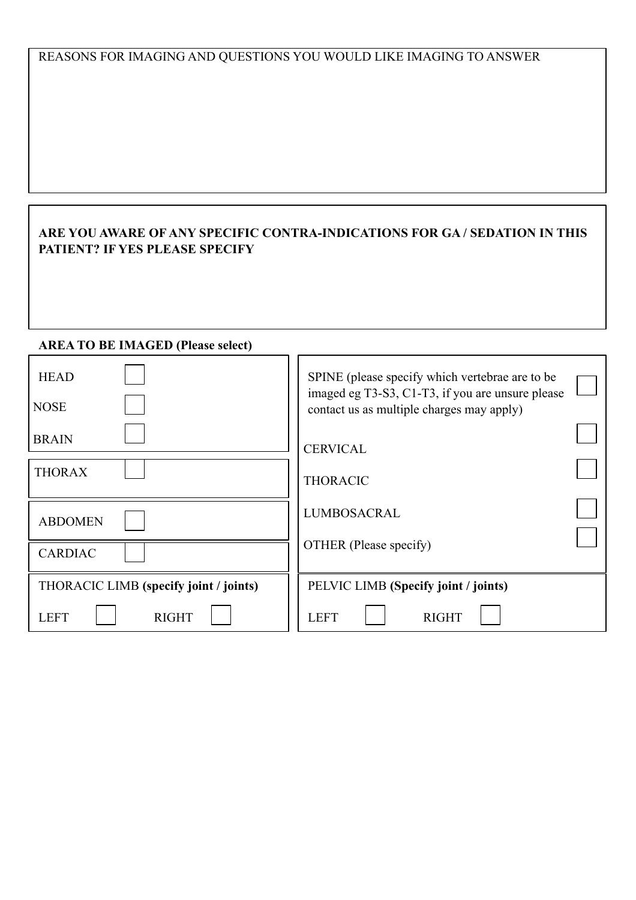# REASONS FOR IMAGING AND QUESTIONS YOU WOULD LIKE IMAGING TO ANSWER

# **ARE YOU AWARE OF ANY SPECIFIC CONTRA-INDICATIONS FOR GA / SEDATION IN THIS PATIENT? IF YES PLEASE SPECIFY**

#### **AREA TO BE IMAGED (Please select)**

| <b>HEAD</b><br><b>NOSE</b>             | SPINE (please specify which vertebrae are to be<br>imaged eg T3-S3, C1-T3, if you are unsure please<br>contact us as multiple charges may apply) |  |
|----------------------------------------|--------------------------------------------------------------------------------------------------------------------------------------------------|--|
| <b>BRAIN</b>                           | <b>CERVICAL</b>                                                                                                                                  |  |
| <b>THORAX</b>                          | <b>THORACIC</b>                                                                                                                                  |  |
| <b>ABDOMEN</b>                         | <b>LUMBOSACRAL</b>                                                                                                                               |  |
| <b>CARDIAC</b>                         | OTHER (Please specify)                                                                                                                           |  |
| THORACIC LIMB (specify joint / joints) | PELVIC LIMB (Specify joint / joints)                                                                                                             |  |
| <b>RIGHT</b><br><b>LEFT</b>            | <b>LEFT</b><br><b>RIGHT</b>                                                                                                                      |  |